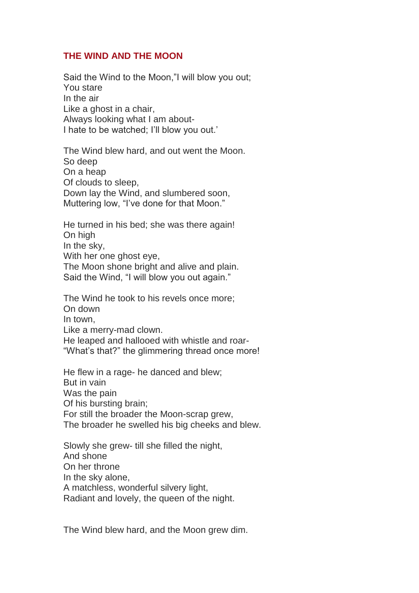## **THE WIND AND THE MOON**

Said the Wind to the Moon,"I will blow you out; You stare In the air Like a ghost in a chair, Always looking what I am about-I hate to be watched; I'll blow you out.'

The Wind blew hard, and out went the Moon. So deep On a heap Of clouds to sleep, Down lay the Wind, and slumbered soon, Muttering low, "I've done for that Moon."

He turned in his bed; she was there again! On high In the sky, With her one ghost eye, The Moon shone bright and alive and plain. Said the Wind, "I will blow you out again."

The Wind he took to his revels once more; On down In town, Like a merry-mad clown. He leaped and hallooed with whistle and roar- "What's that?" the glimmering thread once more!

He flew in a rage- he danced and blew; But in vain Was the pain Of his bursting brain; For still the broader the Moon-scrap grew, The broader he swelled his big cheeks and blew.

Slowly she grew- till she filled the night, And shone On her throne In the sky alone, A matchless, wonderful silvery light, Radiant and lovely, the queen of the night.

The Wind blew hard, and the Moon grew dim.